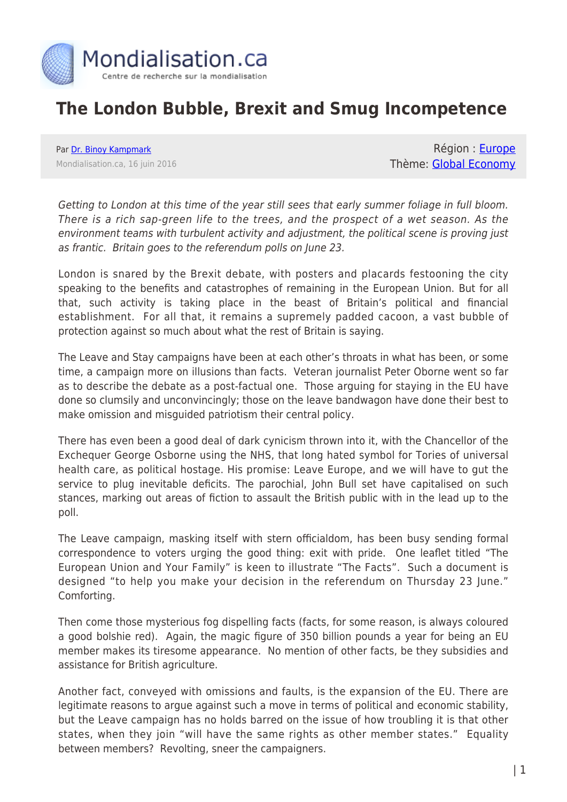

## **The London Bubble, Brexit and Smug Incompetence**

Par [Dr. Binoy Kampmark](https://www.mondialisation.ca/author/binoy-kampmark) Mondialisation.ca, 16 juin 2016

Région : [Europe](https://www.mondialisation.ca/region/europe) Thème: [Global Economy](https://www.mondialisation.ca/theme/global-economy)

Getting to London at this time of the year still sees that early summer foliage in full bloom. There is a rich sap-green life to the trees, and the prospect of a wet season. As the environment teams with turbulent activity and adjustment, the political scene is proving just as frantic. Britain goes to the referendum polls on June 23.

London is snared by the Brexit debate, with posters and placards festooning the city speaking to the benefits and catastrophes of remaining in the European Union. But for all that, such activity is taking place in the beast of Britain's political and financial establishment. For all that, it remains a supremely padded cacoon, a vast bubble of protection against so much about what the rest of Britain is saying.

The Leave and Stay campaigns have been at each other's throats in what has been, or some time, a campaign more on illusions than facts. Veteran journalist Peter Oborne went so far as to describe the debate as a post-factual one. Those arguing for staying in the EU have done so clumsily and unconvincingly; those on the leave bandwagon have done their best to make omission and misguided patriotism their central policy.

There has even been a good deal of dark cynicism thrown into it, with the Chancellor of the Exchequer George Osborne using the NHS, that long hated symbol for Tories of universal health care, as political hostage. His promise: Leave Europe, and we will have to gut the service to plug inevitable deficits. The parochial, John Bull set have capitalised on such stances, marking out areas of fiction to assault the British public with in the lead up to the poll.

The Leave campaign, masking itself with stern officialdom, has been busy sending formal correspondence to voters urging the good thing: exit with pride. One leaflet titled "The European Union and Your Family" is keen to illustrate "The Facts". Such a document is designed "to help you make your decision in the referendum on Thursday 23 June." Comforting.

Then come those mysterious fog dispelling facts (facts, for some reason, is always coloured a good bolshie red). Again, the magic figure of 350 billion pounds a year for being an EU member makes its tiresome appearance. No mention of other facts, be they subsidies and assistance for British agriculture.

Another fact, conveyed with omissions and faults, is the expansion of the EU. There are legitimate reasons to argue against such a move in terms of political and economic stability, but the Leave campaign has no holds barred on the issue of how troubling it is that other states, when they join "will have the same rights as other member states." Equality between members? Revolting, sneer the campaigners.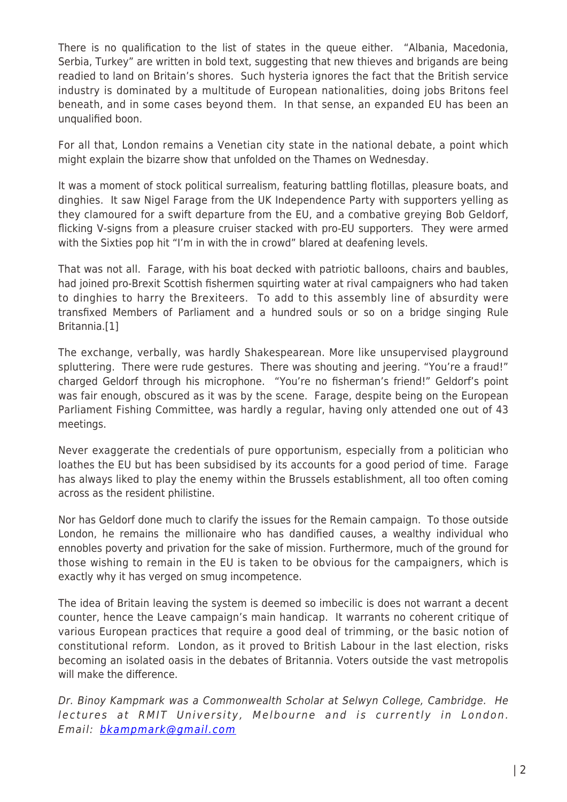There is no qualification to the list of states in the queue either. "Albania, Macedonia, Serbia, Turkey" are written in bold text, suggesting that new thieves and brigands are being readied to land on Britain's shores. Such hysteria ignores the fact that the British service industry is dominated by a multitude of European nationalities, doing jobs Britons feel beneath, and in some cases beyond them. In that sense, an expanded EU has been an unqualified boon.

For all that, London remains a Venetian city state in the national debate, a point which might explain the bizarre show that unfolded on the Thames on Wednesday.

It was a moment of stock political surrealism, featuring battling flotillas, pleasure boats, and dinghies. It saw Nigel Farage from the UK Independence Party with supporters yelling as they clamoured for a swift departure from the EU, and a combative greying Bob Geldorf, flicking V-signs from a pleasure cruiser stacked with pro-EU supporters. They were armed with the Sixties pop hit "I'm in with the in crowd" blared at deafening levels.

That was not all. Farage, with his boat decked with patriotic balloons, chairs and baubles, had joined pro-Brexit Scottish fishermen squirting water at rival campaigners who had taken to dinghies to harry the Brexiteers. To add to this assembly line of absurdity were transfixed Members of Parliament and a hundred souls or so on a bridge singing Rule Britannia.[1]

The exchange, verbally, was hardly Shakespearean. More like unsupervised playground spluttering. There were rude gestures. There was shouting and jeering. "You're a fraud!" charged Geldorf through his microphone. "You're no fisherman's friend!" Geldorf's point was fair enough, obscured as it was by the scene. Farage, despite being on the European Parliament Fishing Committee, was hardly a regular, having only attended one out of 43 meetings.

Never exaggerate the credentials of pure opportunism, especially from a politician who loathes the EU but has been subsidised by its accounts for a good period of time. Farage has always liked to play the enemy within the Brussels establishment, all too often coming across as the resident philistine.

Nor has Geldorf done much to clarify the issues for the Remain campaign. To those outside London, he remains the millionaire who has dandified causes, a wealthy individual who ennobles poverty and privation for the sake of mission. Furthermore, much of the ground for those wishing to remain in the EU is taken to be obvious for the campaigners, which is exactly why it has verged on smug incompetence.

The idea of Britain leaving the system is deemed so imbecilic is does not warrant a decent counter, hence the Leave campaign's main handicap. It warrants no coherent critique of various European practices that require a good deal of trimming, or the basic notion of constitutional reform. London, as it proved to British Labour in the last election, risks becoming an isolated oasis in the debates of Britannia. Voters outside the vast metropolis will make the difference.

Dr. Binoy Kampmark was a Commonwealth Scholar at Selwyn College, Cambridge. He lectures at RMIT University, Melbourne and is currently in London. Email: [bkampmark@gmail.com](mailto:bkampmark@gmail.com)